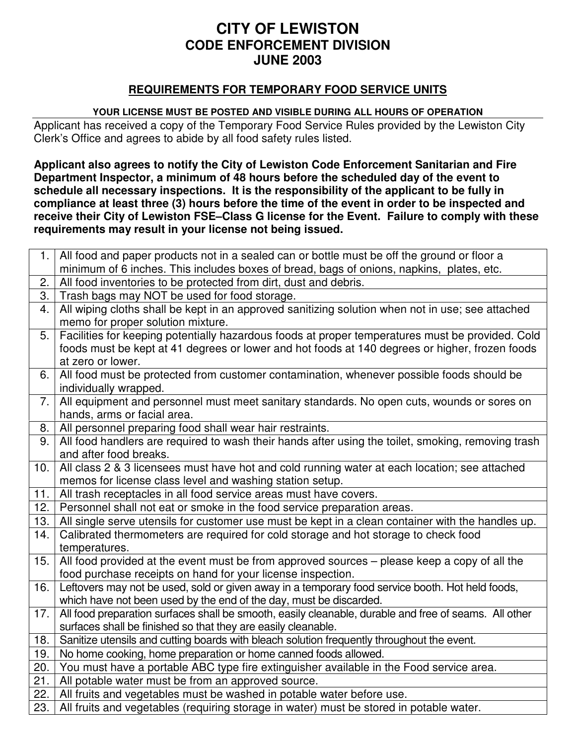### **CITY OF LEWISTON CODE ENFORCEMENT DIVISION JUNE 2003**

#### **REQUIREMENTS FOR TEMPORARY FOOD SERVICE UNITS**

#### **YOUR LICENSE MUST BE POSTED AND VISIBLE DURING ALL HOURS OF OPERATION**

Applicant has received a copy of the Temporary Food Service Rules provided by the Lewiston City Clerk's Office and agrees to abide by all food safety rules listed.

**Applicant also agrees to notify the City of Lewiston Code Enforcement Sanitarian and Fire Department Inspector, a minimum of 48 hours before the scheduled day of the event to schedule all necessary inspections. It is the responsibility of the applicant to be fully in compliance at least three (3) hours before the time of the event in order to be inspected and receive their City of Lewiston FSE–Class G license for the Event. Failure to comply with these requirements may result in your license not being issued.**

| 1.  | All food and paper products not in a sealed can or bottle must be off the ground or floor a                                                                  |  |  |
|-----|--------------------------------------------------------------------------------------------------------------------------------------------------------------|--|--|
| 2.  | minimum of 6 inches. This includes boxes of bread, bags of onions, napkins, plates, etc.<br>All food inventories to be protected from dirt, dust and debris. |  |  |
| 3.  | Trash bags may NOT be used for food storage.                                                                                                                 |  |  |
| 4.  | All wiping cloths shall be kept in an approved sanitizing solution when not in use; see attached                                                             |  |  |
|     | memo for proper solution mixture.                                                                                                                            |  |  |
| 5.  | Facilities for keeping potentially hazardous foods at proper temperatures must be provided. Cold                                                             |  |  |
|     | foods must be kept at 41 degrees or lower and hot foods at 140 degrees or higher, frozen foods                                                               |  |  |
|     | at zero or lower.                                                                                                                                            |  |  |
| 6.  | All food must be protected from customer contamination, whenever possible foods should be<br>individually wrapped.                                           |  |  |
| 7.  | All equipment and personnel must meet sanitary standards. No open cuts, wounds or sores on                                                                   |  |  |
|     | hands, arms or facial area.                                                                                                                                  |  |  |
| 8.  | All personnel preparing food shall wear hair restraints.                                                                                                     |  |  |
| 9.  | All food handlers are required to wash their hands after using the toilet, smoking, removing trash                                                           |  |  |
|     | and after food breaks.                                                                                                                                       |  |  |
| 10. | All class 2 & 3 licensees must have hot and cold running water at each location; see attached                                                                |  |  |
|     | memos for license class level and washing station setup.                                                                                                     |  |  |
| 11. | All trash receptacles in all food service areas must have covers.                                                                                            |  |  |
| 12. | Personnel shall not eat or smoke in the food service preparation areas.                                                                                      |  |  |
| 13. | All single serve utensils for customer use must be kept in a clean container with the handles up.                                                            |  |  |
| 14. | Calibrated thermometers are required for cold storage and hot storage to check food                                                                          |  |  |
|     | temperatures.                                                                                                                                                |  |  |
| 15. | All food provided at the event must be from approved sources – please keep a copy of all the                                                                 |  |  |
|     | food purchase receipts on hand for your license inspection.                                                                                                  |  |  |
| 16. | Leftovers may not be used, sold or given away in a temporary food service booth. Hot held foods,                                                             |  |  |
|     | which have not been used by the end of the day, must be discarded.                                                                                           |  |  |
| 17. | All food preparation surfaces shall be smooth, easily cleanable, durable and free of seams. All other                                                        |  |  |
|     | surfaces shall be finished so that they are easily cleanable.                                                                                                |  |  |
| 18. | Sanitize utensils and cutting boards with bleach solution frequently throughout the event.                                                                   |  |  |
| 19. | No home cooking, home preparation or home canned foods allowed.                                                                                              |  |  |
| 20. | You must have a portable ABC type fire extinguisher available in the Food service area.                                                                      |  |  |
| 21. | All potable water must be from an approved source.                                                                                                           |  |  |
| 22. | All fruits and vegetables must be washed in potable water before use.                                                                                        |  |  |
| 23. | All fruits and vegetables (requiring storage in water) must be stored in potable water.                                                                      |  |  |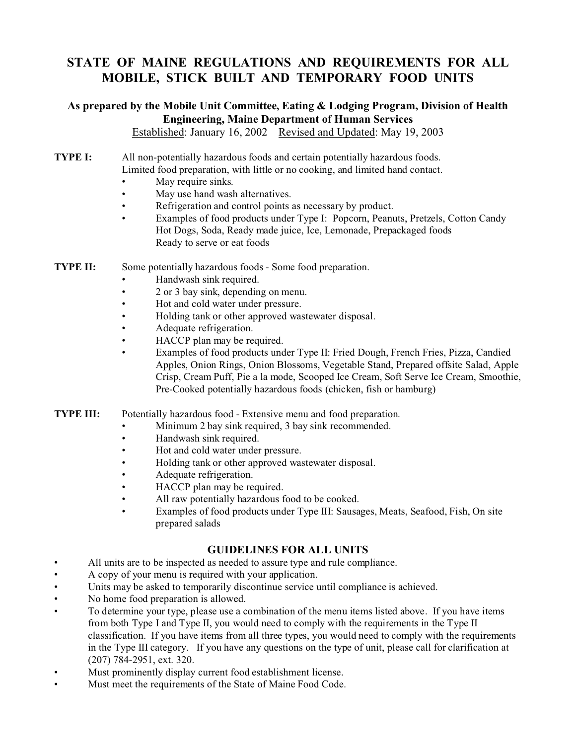#### **STATE OF MAINE REGULATIONS AND REQUIREMENTS FOR ALL MOBILE, STICK BUILT AND TEMPORARY FOOD UNITS**

## **As prepared by the Mobile Unit Committee, Eating & Lodging Program, Division of Health Engineering, Maine Department of Human Services**

Established: January 16, 2002 Revised and Updated: May 19, 2003

- **TYPE I:** All non-potentially hazardous foods and certain potentially hazardous foods. Limited food preparation, with little or no cooking, and limited hand contact.
	- May require sinks.
	- May use hand wash alternatives.
	- Refrigeration and control points as necessary by product.
	- Examples of food products under Type I: Popcorn, Peanuts, Pretzels, Cotton Candy Hot Dogs, Soda, Ready made juice, Ice, Lemonade, Prepackaged foods Ready to serve or eat foods
- **TYPE II:** Some potentially hazardous foods Some food preparation.
	- Handwash sink required.
	- 2 or 3 bay sink, depending on menu.
	- Hot and cold water under pressure.
	- Holding tank or other approved wastewater disposal.
	- Adequate refrigeration.
	- HACCP plan may be required.
	- Examples of food products under Type II: Fried Dough, French Fries, Pizza, Candied Apples, Onion Rings, Onion Blossoms, Vegetable Stand, Prepared offsite Salad, Apple Crisp, Cream Puff, Pie a la mode, Scooped Ice Cream, Soft Serve Ice Cream, Smoothie, Pre-Cooked potentially hazardous foods (chicken, fish or hamburg)
- **TYPE III:** Potentially hazardous food Extensive menu and food preparation.
	- Minimum 2 bay sink required, 3 bay sink recommended.
	- Handwash sink required.
	- Hot and cold water under pressure.
	- Holding tank or other approved wastewater disposal.
	- Adequate refrigeration.
	- HACCP plan may be required.
	- All raw potentially hazardous food to be cooked.
	- Examples of food products under Type III: Sausages, Meats, Seafood, Fish, On site prepared salads

#### **GUIDELINES FOR ALL UNITS**

- All units are to be inspected as needed to assure type and rule compliance.
- A copy of your menu is required with your application.
- Units may be asked to temporarily discontinue service until compliance is achieved.
- No home food preparation is allowed.
- To determine your type, please use a combination of the menu items listed above. If you have items from both Type I and Type II, you would need to comply with the requirements in the Type II classification. If you have items from all three types, you would need to comply with the requirements in the Type III category. If you have any questions on the type of unit, please call for clarification at (207) 784-2951, ext. 320.
- Must prominently display current food establishment license.
- Must meet the requirements of the State of Maine Food Code.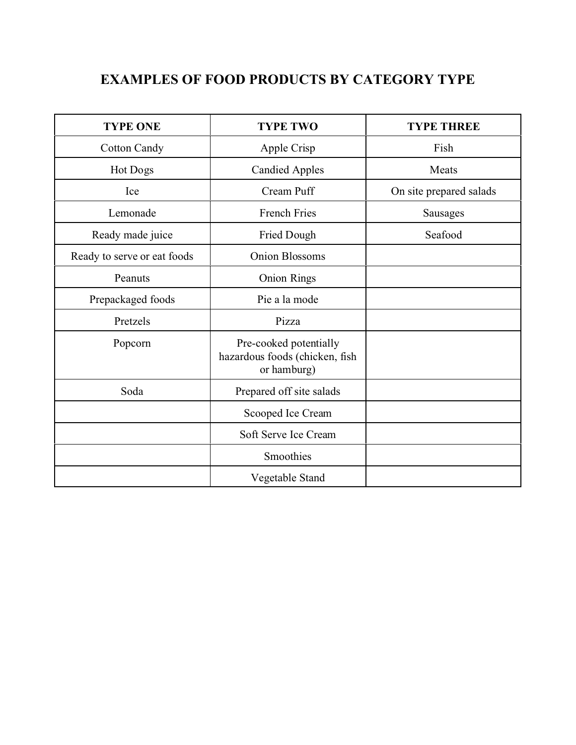# **EXAMPLES OF FOOD PRODUCTS BY CATEGORY TYPE**

| <b>TYPE ONE</b>             | <b>TYPE TWO</b>                                                         | <b>TYPE THREE</b>       |
|-----------------------------|-------------------------------------------------------------------------|-------------------------|
| <b>Cotton Candy</b>         | Apple Crisp                                                             | Fish                    |
| Hot Dogs                    | <b>Candied Apples</b>                                                   | Meats                   |
| Ice                         | Cream Puff                                                              | On site prepared salads |
| Lemonade                    | <b>French Fries</b>                                                     | <b>Sausages</b>         |
| Ready made juice            | Fried Dough                                                             | Seafood                 |
| Ready to serve or eat foods | <b>Onion Blossoms</b>                                                   |                         |
| Peanuts                     | <b>Onion Rings</b>                                                      |                         |
| Prepackaged foods           | Pie a la mode                                                           |                         |
| Pretzels                    | Pizza                                                                   |                         |
| Popcorn                     | Pre-cooked potentially<br>hazardous foods (chicken, fish<br>or hamburg) |                         |
| Soda                        | Prepared off site salads                                                |                         |
|                             | Scooped Ice Cream                                                       |                         |
|                             | Soft Serve Ice Cream                                                    |                         |
|                             | Smoothies                                                               |                         |
|                             | Vegetable Stand                                                         |                         |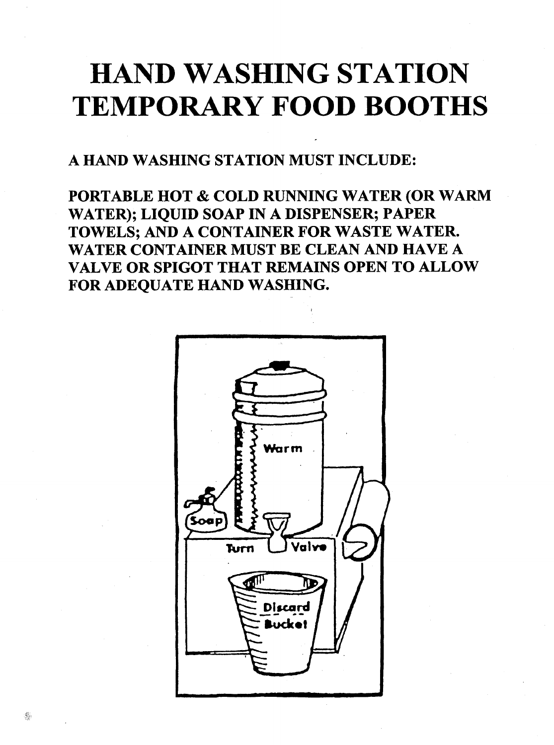# **HAND WASHING STATION TEMPORARY FOOD BOOTHS**

A HAND WASHING STATION MUST INCLUDE:

PORTABLE HOT & COLD RUNNING WATER (OR WARM WATER); LIQUID SOAP IN A DISPENSER; PAPER TOWELS; AND A CONTAINER FOR WASTE WATER. WATER CONTAINER MUST BE CLEAN AND HAVE A VALVE OR SPIGOT THAT REMAINS OPEN TO ALLOW FOR ADEQUATE HAND WASHING.